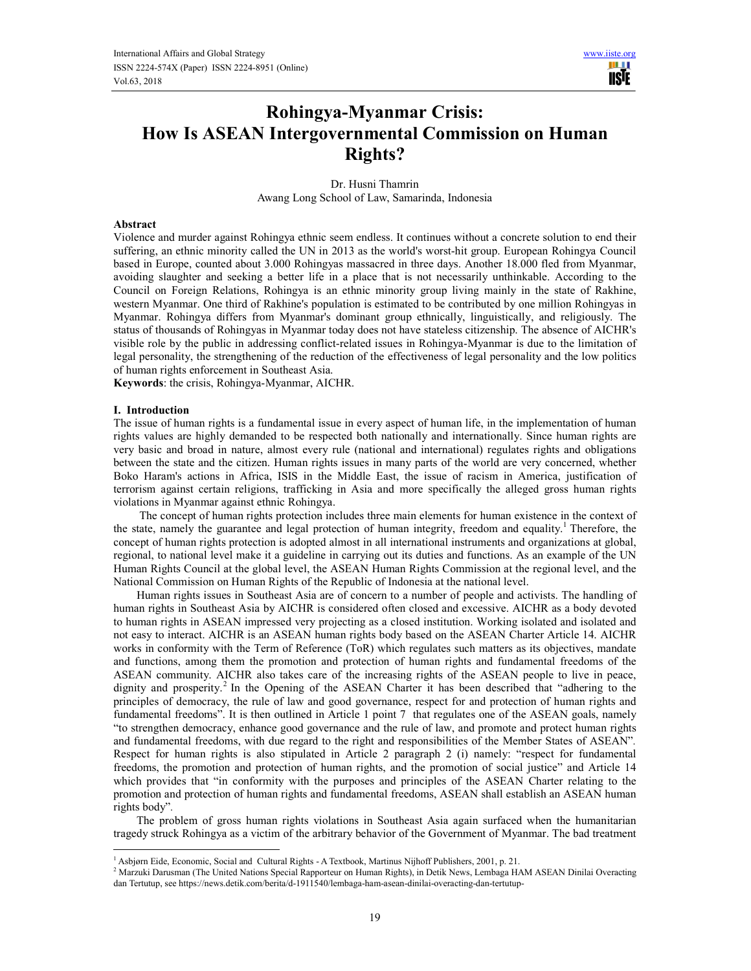NSĪE

# **Rohingya-Myanmar Crisis: How Is ASEAN Intergovernmental Commission on Human Rights?**

Dr. Husni Thamrin Awang Long School of Law, Samarinda, Indonesia

### **Abstract**

Violence and murder against Rohingya ethnic seem endless. It continues without a concrete solution to end their suffering, an ethnic minority called the UN in 2013 as the world's worst-hit group. European Rohingya Council based in Europe, counted about 3.000 Rohingyas massacred in three days. Another 18.000 fled from Myanmar, avoiding slaughter and seeking a better life in a place that is not necessarily unthinkable. According to the Council on Foreign Relations, Rohingya is an ethnic minority group living mainly in the state of Rakhine, western Myanmar. One third of Rakhine's population is estimated to be contributed by one million Rohingyas in Myanmar. Rohingya differs from Myanmar's dominant group ethnically, linguistically, and religiously. The status of thousands of Rohingyas in Myanmar today does not have stateless citizenship. The absence of AICHR's visible role by the public in addressing conflict-related issues in Rohingya-Myanmar is due to the limitation of legal personality, the strengthening of the reduction of the effectiveness of legal personality and the low politics of human rights enforcement in Southeast Asia.

**Keywords**: the crisis, Rohingya-Myanmar, AICHR.

### **I. Introduction**

 $\overline{a}$ 

The issue of human rights is a fundamental issue in every aspect of human life, in the implementation of human rights values are highly demanded to be respected both nationally and internationally. Since human rights are very basic and broad in nature, almost every rule (national and international) regulates rights and obligations between the state and the citizen. Human rights issues in many parts of the world are very concerned, whether Boko Haram's actions in Africa, ISIS in the Middle East, the issue of racism in America, justification of terrorism against certain religions, trafficking in Asia and more specifically the alleged gross human rights violations in Myanmar against ethnic Rohingya.

 The concept of human rights protection includes three main elements for human existence in the context of the state, namely the guarantee and legal protection of human integrity, freedom and equality.<sup>1</sup> Therefore, the concept of human rights protection is adopted almost in all international instruments and organizations at global, regional, to national level make it a guideline in carrying out its duties and functions. As an example of the UN Human Rights Council at the global level, the ASEAN Human Rights Commission at the regional level, and the National Commission on Human Rights of the Republic of Indonesia at the national level.

Human rights issues in Southeast Asia are of concern to a number of people and activists. The handling of human rights in Southeast Asia by AICHR is considered often closed and excessive. AICHR as a body devoted to human rights in ASEAN impressed very projecting as a closed institution. Working isolated and isolated and not easy to interact. AICHR is an ASEAN human rights body based on the ASEAN Charter Article 14. AICHR works in conformity with the Term of Reference (ToR) which regulates such matters as its objectives, mandate and functions, among them the promotion and protection of human rights and fundamental freedoms of the ASEAN community. AICHR also takes care of the increasing rights of the ASEAN people to live in peace, dignity and prosperity.<sup>2</sup> In the Opening of the ASEAN Charter it has been described that "adhering to the principles of democracy, the rule of law and good governance, respect for and protection of human rights and fundamental freedoms". It is then outlined in Article 1 point 7 that regulates one of the ASEAN goals, namely "to strengthen democracy, enhance good governance and the rule of law, and promote and protect human rights and fundamental freedoms, with due regard to the right and responsibilities of the Member States of ASEAN"*.*  Respect for human rights is also stipulated in Article 2 paragraph 2 (i) namely: "respect for fundamental freedoms, the promotion and protection of human rights, and the promotion of social justice" and Article 14 which provides that "in conformity with the purposes and principles of the ASEAN Charter relating to the promotion and protection of human rights and fundamental freedoms, ASEAN shall establish an ASEAN human rights body"*.* 

The problem of gross human rights violations in Southeast Asia again surfaced when the humanitarian tragedy struck Rohingya as a victim of the arbitrary behavior of the Government of Myanmar. The bad treatment

<sup>&</sup>lt;sup>1</sup> Asbjørn Eide, Economic, Social and Cultural Rights - A Textbook, Martinus Nijhoff Publishers, 2001, p. 21.

<sup>&</sup>lt;sup>2</sup> Marzuki Darusman (The United Nations Special Rapporteur on Human Rights), in Detik News, Lembaga HAM ASEAN Dinilai Overacting dan Tertutup, see https://news.detik.com/berita/d-1911540/lembaga-ham-asean-dinilai-overacting-dan-tertutup-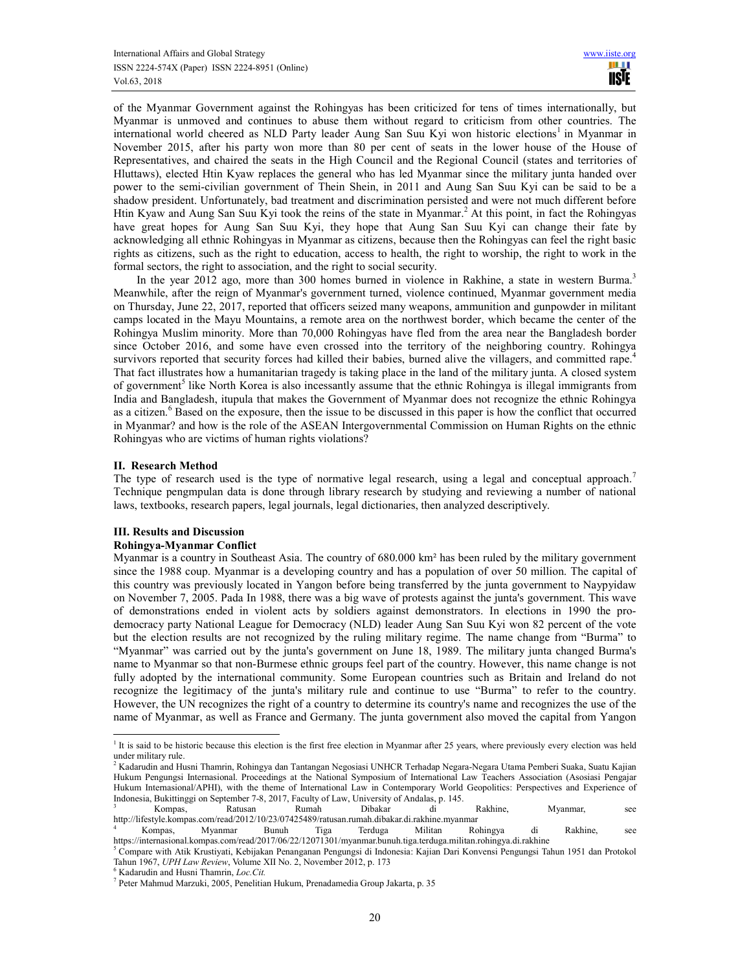of the Myanmar Government against the Rohingyas has been criticized for tens of times internationally, but Myanmar is unmoved and continues to abuse them without regard to criticism from other countries. The international world cheered as NLD Party leader Aung San Suu Kyi won historic elections<sup>1</sup> in Myanmar in November 2015, after his party won more than 80 per cent of seats in the lower house of the House of Representatives, and chaired the seats in the High Council and the Regional Council (states and territories of Hluttaws), elected Htin Kyaw replaces the general who has led Myanmar since the military junta handed over power to the semi-civilian government of Thein Shein, in 2011 and Aung San Suu Kyi can be said to be a shadow president. Unfortunately, bad treatment and discrimination persisted and were not much different before Htin Kyaw and Aung San Suu Kyi took the reins of the state in Myanmar.<sup>2</sup> At this point, in fact the Rohingyas have great hopes for Aung San Suu Kyi, they hope that Aung San Suu Kyi can change their fate by acknowledging all ethnic Rohingyas in Myanmar as citizens, because then the Rohingyas can feel the right basic rights as citizens, such as the right to education, access to health, the right to worship, the right to work in the formal sectors, the right to association, and the right to social security.

In the year 2012 ago, more than 300 homes burned in violence in Rakhine, a state in western Burma.<sup>3</sup> Meanwhile, after the reign of Myanmar's government turned, violence continued, Myanmar government media on Thursday, June 22, 2017, reported that officers seized many weapons, ammunition and gunpowder in militant camps located in the Mayu Mountains, a remote area on the northwest border, which became the center of the Rohingya Muslim minority. More than 70,000 Rohingyas have fled from the area near the Bangladesh border since October 2016, and some have even crossed into the territory of the neighboring country. Rohingya survivors reported that security forces had killed their babies, burned alive the villagers, and committed rape.<sup>4</sup> That fact illustrates how a humanitarian tragedy is taking place in the land of the military junta. A closed system of government<sup>5</sup> like North Korea is also incessantly assume that the ethnic Rohingya is illegal immigrants from India and Bangladesh, itupula that makes the Government of Myanmar does not recognize the ethnic Rohingya as a citizen.<sup>6</sup> Based on the exposure, then the issue to be discussed in this paper is how the conflict that occurred in Myanmar? and how is the role of the ASEAN Intergovernmental Commission on Human Rights on the ethnic Rohingyas who are victims of human rights violations?

### **II. Research Method**

The type of research used is the type of normative legal research, using a legal and conceptual approach.<sup>7</sup> Technique pengmpulan data is done through library research by studying and reviewing a number of national laws, textbooks, research papers, legal journals, legal dictionaries, then analyzed descriptively.

## **III. Results and Discussion**

### **Rohingya-Myanmar Conflict**

Myanmar is a country in Southeast Asia. The country of 680.000 km² has been ruled by the military government since the 1988 coup. Myanmar is a developing country and has a population of over 50 million. The capital of this country was previously located in Yangon before being transferred by the junta government to Naypyidaw on November 7, 2005. Pada In 1988, there was a big wave of protests against the junta's government. This wave of demonstrations ended in violent acts by soldiers against demonstrators. In elections in 1990 the prodemocracy party National League for Democracy (NLD) leader Aung San Suu Kyi won 82 percent of the vote but the election results are not recognized by the ruling military regime. The name change from "Burma" to "Myanmar" was carried out by the junta's government on June 18, 1989. The military junta changed Burma's name to Myanmar so that non-Burmese ethnic groups feel part of the country. However, this name change is not fully adopted by the international community. Some European countries such as Britain and Ireland do not recognize the legitimacy of the junta's military rule and continue to use "Burma" to refer to the country. However, the UN recognizes the right of a country to determine its country's name and recognizes the use of the name of Myanmar, as well as France and Germany. The junta government also moved the capital from Yangon

<sup>&</sup>lt;sup>1</sup> It is said to be historic because this election is the first free election in Myanmar after 25 years, where previously every election was held under military rule.

<sup>&</sup>lt;sup>2</sup> Kadarudin and Husni Thamrin, Rohingya dan Tantangan Negosiasi UNHCR Terhadap Negara-Negara Utama Pemberi Suaka, Suatu Kajian Hukum Pengungsi Internasional. Proceedings at the National Symposium of International Law Teachers Association (Asosiasi Pengajar Hukum Internasional/APHI), with the theme of International Law in Contemporary World Geopolitics: Perspectives and Experience of Indonesia, Bukittinggi on September 7-8, 2017, Faculty of Law, University of Andalas, p. 145.

<sup>3</sup> Kompas, Ratusan Rumah Dibakar di Rakhine, Myanmar, see http://lifestyle.kompas.com/read/2012/10/23/07425489/ratusan.rumah.dibakar.di.rakhine.myanmar

<sup>4</sup> Kompas, Myanmar Bunuh Tiga Terduga Militan Rohingya di Rakhine, see https://internasional.kompas.com/read/2017/06/22/12071301/myanmar.bunuh.tiga.terduga.militan.rohingya.di.rakhine

<sup>&</sup>lt;sup>5</sup> Compare with Atik Krustiyati, Kebijakan Penanganan Pengungsi di Indonesia: Kajian Dari Konvensi Pengungsi Tahun 1951 dan Protokol Tahun 1967, *UPH Law Review*, Volume XII No. 2, November 2012, p. 173

<sup>6</sup> Kadarudin and Husni Thamrin, *Loc.Cit.*

<sup>7</sup> Peter Mahmud Marzuki, 2005, Penelitian Hukum, Prenadamedia Group Jakarta, p. 35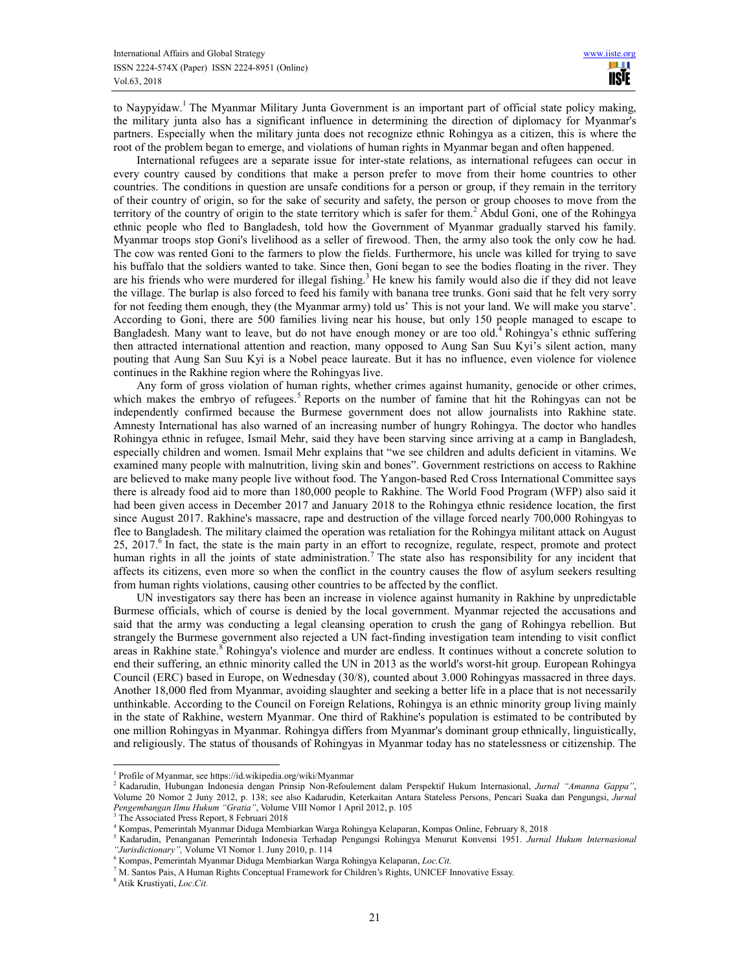to Naypyidaw.<sup>1</sup> The Myanmar Military Junta Government is an important part of official state policy making, the military junta also has a significant influence in determining the direction of diplomacy for Myanmar's partners. Especially when the military junta does not recognize ethnic Rohingya as a citizen, this is where the root of the problem began to emerge, and violations of human rights in Myanmar began and often happened.

International refugees are a separate issue for inter-state relations, as international refugees can occur in every country caused by conditions that make a person prefer to move from their home countries to other countries. The conditions in question are unsafe conditions for a person or group, if they remain in the territory of their country of origin, so for the sake of security and safety, the person or group chooses to move from the territory of the country of origin to the state territory which is safer for them.<sup>2</sup> Abdul Goni, one of the Rohingya ethnic people who fled to Bangladesh, told how the Government of Myanmar gradually starved his family. Myanmar troops stop Goni's livelihood as a seller of firewood. Then, the army also took the only cow he had. The cow was rented Goni to the farmers to plow the fields. Furthermore, his uncle was killed for trying to save his buffalo that the soldiers wanted to take. Since then, Goni began to see the bodies floating in the river. They are his friends who were murdered for illegal fishing.<sup>3</sup> He knew his family would also die if they did not leave the village. The burlap is also forced to feed his family with banana tree trunks. Goni said that he felt very sorry for not feeding them enough, they (the Myanmar army) told us' This is not your land. We will make you starve'. According to Goni, there are 500 families living near his house, but only 150 people managed to escape to Bangladesh. Many want to leave, but do not have enough money or are too old.<sup>4</sup> Rohingya's ethnic suffering then attracted international attention and reaction, many opposed to Aung San Suu Kyi's silent action, many pouting that Aung San Suu Kyi is a Nobel peace laureate. But it has no influence, even violence for violence continues in the Rakhine region where the Rohingyas live.

Any form of gross violation of human rights, whether crimes against humanity, genocide or other crimes, which makes the embryo of refugees.<sup>5</sup> Reports on the number of famine that hit the Rohingyas can not be independently confirmed because the Burmese government does not allow journalists into Rakhine state. Amnesty International has also warned of an increasing number of hungry Rohingya. The doctor who handles Rohingya ethnic in refugee, Ismail Mehr, said they have been starving since arriving at a camp in Bangladesh, especially children and women. Ismail Mehr explains that "we see children and adults deficient in vitamins. We examined many people with malnutrition, living skin and bones". Government restrictions on access to Rakhine are believed to make many people live without food. The Yangon-based Red Cross International Committee says there is already food aid to more than 180,000 people to Rakhine. The World Food Program (WFP) also said it had been given access in December 2017 and January 2018 to the Rohingya ethnic residence location, the first since August 2017. Rakhine's massacre, rape and destruction of the village forced nearly 700,000 Rohingyas to flee to Bangladesh. The military claimed the operation was retaliation for the Rohingya militant attack on August 25, 2017.<sup>6</sup> In fact, the state is the main party in an effort to recognize, regulate, respect, promote and protect human rights in all the joints of state administration.<sup>7</sup> The state also has responsibility for any incident that affects its citizens, even more so when the conflict in the country causes the flow of asylum seekers resulting from human rights violations, causing other countries to be affected by the conflict.

UN investigators say there has been an increase in violence against humanity in Rakhine by unpredictable Burmese officials, which of course is denied by the local government. Myanmar rejected the accusations and said that the army was conducting a legal cleansing operation to crush the gang of Rohingya rebellion. But strangely the Burmese government also rejected a UN fact-finding investigation team intending to visit conflict areas in Rakhine state.<sup>8</sup> Rohingya's violence and murder are endless. It continues without a concrete solution to end their suffering, an ethnic minority called the UN in 2013 as the world's worst-hit group. European Rohingya Council (ERC) based in Europe, on Wednesday (30/8), counted about 3.000 Rohingyas massacred in three days. Another 18,000 fled from Myanmar, avoiding slaughter and seeking a better life in a place that is not necessarily unthinkable. According to the Council on Foreign Relations, Rohingya is an ethnic minority group living mainly in the state of Rakhine, western Myanmar. One third of Rakhine's population is estimated to be contributed by one million Rohingyas in Myanmar. Rohingya differs from Myanmar's dominant group ethnically, linguistically, and religiously. The status of thousands of Rohingyas in Myanmar today has no statelessness or citizenship. The

<sup>&</sup>lt;sup>1</sup> Profile of Myanmar, see https://id.wikipedia.org/wiki/Myanmar

<sup>2</sup> Kadarudin, Hubungan Indonesia dengan Prinsip Non-Refoulement dalam Perspektif Hukum Internasional, *Jurnal "Amanna Gappa"*, Volume 20 Nomor 2 Juny 2012, p. 138; see also Kadarudin, Keterkaitan Antara Stateless Persons, Pencari Suaka dan Pengungsi, *Jurnal Pengembangan Ilmu Hukum "Gratia"*, Volume VIII Nomor 1 April 2012, p. 105 3 The Associated Press Report, 8 Februari 2018

<sup>4</sup> Kompas, Pemerintah Myanmar Diduga Membiarkan Warga Rohingya Kelaparan, Kompas Online, February 8, 2018

<sup>5</sup> Kadarudin, Penanganan Pemerintah Indonesia Terhadap Pengungsi Rohingya Menurut Konvensi 1951. *Jurnal Hukum Internasional "Jurisdictionary",* Volume VI Nomor 1. Juny 2010, p. 114

<sup>6</sup> Kompas, Pemerintah Myanmar Diduga Membiarkan Warga Rohingya Kelaparan, *Loc.Cit.*

<sup>&</sup>lt;sup>7</sup> M. Santos Pais, A Human Rights Conceptual Framework for Children's Rights, UNICEF Innovative Essay.

<sup>8</sup> Atik Krustiyati, *Loc.Cit.*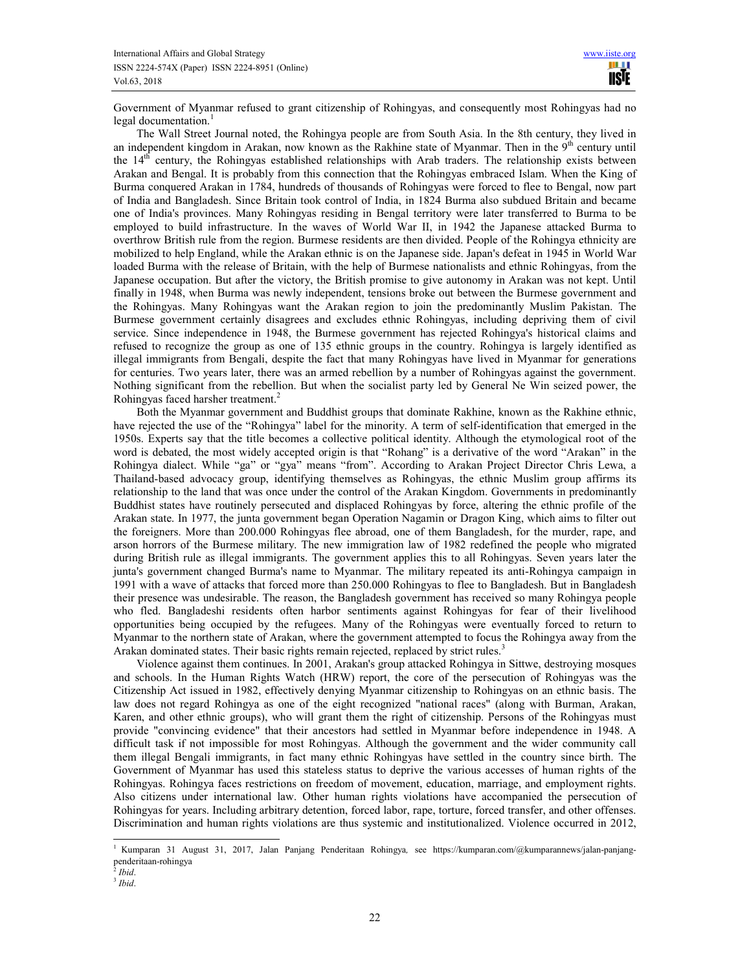Government of Myanmar refused to grant citizenship of Rohingyas, and consequently most Rohingyas had no legal documentation.<sup>1</sup>

The Wall Street Journal noted, the Rohingya people are from South Asia. In the 8th century, they lived in an independent kingdom in Arakan, now known as the Rakhine state of Myanmar. Then in the 9<sup>th</sup> century until the 14<sup>th</sup> century, the Rohingyas established relationships with Arab traders. The relationship exists between Arakan and Bengal. It is probably from this connection that the Rohingyas embraced Islam. When the King of Burma conquered Arakan in 1784, hundreds of thousands of Rohingyas were forced to flee to Bengal, now part of India and Bangladesh. Since Britain took control of India, in 1824 Burma also subdued Britain and became one of India's provinces. Many Rohingyas residing in Bengal territory were later transferred to Burma to be employed to build infrastructure. In the waves of World War II, in 1942 the Japanese attacked Burma to overthrow British rule from the region. Burmese residents are then divided. People of the Rohingya ethnicity are mobilized to help England, while the Arakan ethnic is on the Japanese side. Japan's defeat in 1945 in World War loaded Burma with the release of Britain, with the help of Burmese nationalists and ethnic Rohingyas, from the Japanese occupation. But after the victory, the British promise to give autonomy in Arakan was not kept. Until finally in 1948, when Burma was newly independent, tensions broke out between the Burmese government and the Rohingyas. Many Rohingyas want the Arakan region to join the predominantly Muslim Pakistan. The Burmese government certainly disagrees and excludes ethnic Rohingyas, including depriving them of civil service. Since independence in 1948, the Burmese government has rejected Rohingya's historical claims and refused to recognize the group as one of 135 ethnic groups in the country. Rohingya is largely identified as illegal immigrants from Bengali, despite the fact that many Rohingyas have lived in Myanmar for generations for centuries. Two years later, there was an armed rebellion by a number of Rohingyas against the government. Nothing significant from the rebellion. But when the socialist party led by General Ne Win seized power, the Rohingyas faced harsher treatment.<sup>2</sup>

Both the Myanmar government and Buddhist groups that dominate Rakhine, known as the Rakhine ethnic, have rejected the use of the "Rohingya" label for the minority. A term of self-identification that emerged in the 1950s. Experts say that the title becomes a collective political identity. Although the etymological root of the word is debated, the most widely accepted origin is that "Rohang" is a derivative of the word "Arakan" in the Rohingya dialect. While "ga" or "gya" means "from". According to Arakan Project Director Chris Lewa, a Thailand-based advocacy group, identifying themselves as Rohingyas, the ethnic Muslim group affirms its relationship to the land that was once under the control of the Arakan Kingdom. Governments in predominantly Buddhist states have routinely persecuted and displaced Rohingyas by force, altering the ethnic profile of the Arakan state. In 1977, the junta government began Operation Nagamin or Dragon King, which aims to filter out the foreigners. More than 200.000 Rohingyas flee abroad, one of them Bangladesh, for the murder, rape, and arson horrors of the Burmese military. The new immigration law of 1982 redefined the people who migrated during British rule as illegal immigrants. The government applies this to all Rohingyas. Seven years later the junta's government changed Burma's name to Myanmar. The military repeated its anti-Rohingya campaign in 1991 with a wave of attacks that forced more than 250.000 Rohingyas to flee to Bangladesh. But in Bangladesh their presence was undesirable. The reason, the Bangladesh government has received so many Rohingya people who fled. Bangladeshi residents often harbor sentiments against Rohingyas for fear of their livelihood opportunities being occupied by the refugees. Many of the Rohingyas were eventually forced to return to Myanmar to the northern state of Arakan, where the government attempted to focus the Rohingya away from the Arakan dominated states. Their basic rights remain rejected, replaced by strict rules.<sup>3</sup>

Violence against them continues. In 2001, Arakan's group attacked Rohingya in Sittwe, destroying mosques and schools. In the Human Rights Watch (HRW) report, the core of the persecution of Rohingyas was the Citizenship Act issued in 1982, effectively denying Myanmar citizenship to Rohingyas on an ethnic basis. The law does not regard Rohingya as one of the eight recognized "national races" (along with Burman, Arakan, Karen, and other ethnic groups), who will grant them the right of citizenship. Persons of the Rohingyas must provide "convincing evidence" that their ancestors had settled in Myanmar before independence in 1948. A difficult task if not impossible for most Rohingyas. Although the government and the wider community call them illegal Bengali immigrants, in fact many ethnic Rohingyas have settled in the country since birth. The Government of Myanmar has used this stateless status to deprive the various accesses of human rights of the Rohingyas. Rohingya faces restrictions on freedom of movement, education, marriage, and employment rights. Also citizens under international law. Other human rights violations have accompanied the persecution of Rohingyas for years. Including arbitrary detention, forced labor, rape, torture, forced transfer, and other offenses. Discrimination and human rights violations are thus systemic and institutionalized. Violence occurred in 2012,

<sup>1</sup> Kumparan 31 August 31, 2017, Jalan Panjang Penderitaan Rohingya*,* see https://kumparan.com/@kumparannews/jalan-panjangpenderitaan-rohingya 2 *Ibid*.

<sup>3</sup> *Ibid*.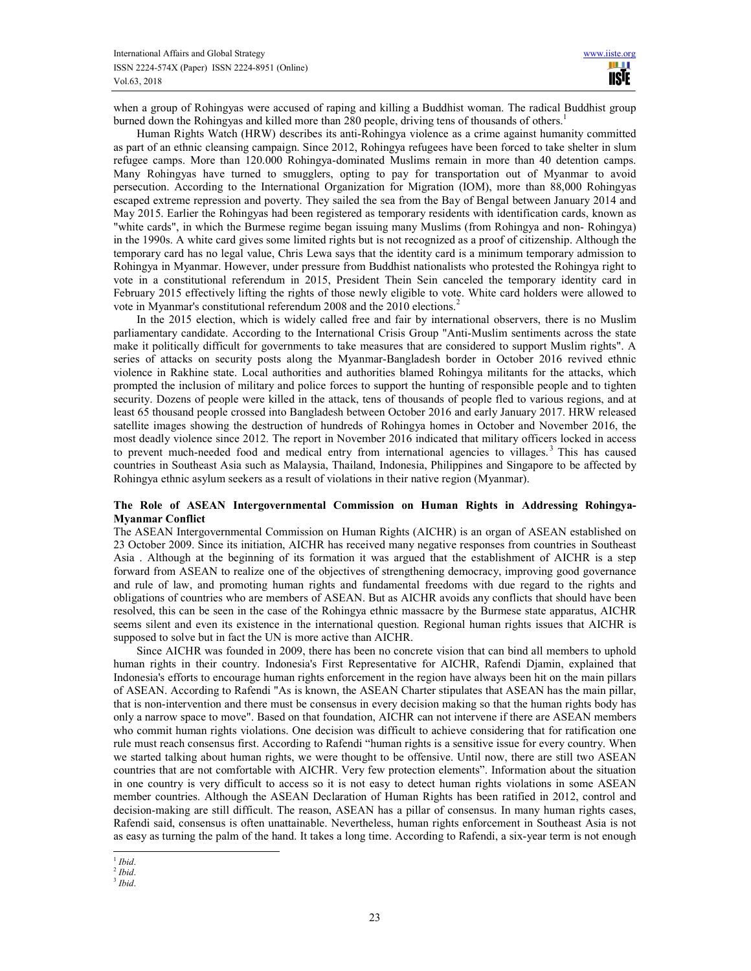when a group of Rohingyas were accused of raping and killing a Buddhist woman. The radical Buddhist group burned down the Rohingyas and killed more than 280 people, driving tens of thousands of others.<sup>1</sup>

Human Rights Watch (HRW) describes its anti-Rohingya violence as a crime against humanity committed as part of an ethnic cleansing campaign. Since 2012, Rohingya refugees have been forced to take shelter in slum refugee camps. More than 120.000 Rohingya-dominated Muslims remain in more than 40 detention camps. Many Rohingyas have turned to smugglers, opting to pay for transportation out of Myanmar to avoid persecution. According to the International Organization for Migration (IOM), more than 88,000 Rohingyas escaped extreme repression and poverty. They sailed the sea from the Bay of Bengal between January 2014 and May 2015. Earlier the Rohingyas had been registered as temporary residents with identification cards, known as "white cards", in which the Burmese regime began issuing many Muslims (from Rohingya and non- Rohingya) in the 1990s. A white card gives some limited rights but is not recognized as a proof of citizenship. Although the temporary card has no legal value, Chris Lewa says that the identity card is a minimum temporary admission to Rohingya in Myanmar. However, under pressure from Buddhist nationalists who protested the Rohingya right to vote in a constitutional referendum in 2015, President Thein Sein canceled the temporary identity card in February 2015 effectively lifting the rights of those newly eligible to vote. White card holders were allowed to vote in Myanmar's constitutional referendum 2008 and the 2010 elections.<sup>2</sup>

In the 2015 election, which is widely called free and fair by international observers, there is no Muslim parliamentary candidate. According to the International Crisis Group "Anti-Muslim sentiments across the state make it politically difficult for governments to take measures that are considered to support Muslim rights". A series of attacks on security posts along the Myanmar-Bangladesh border in October 2016 revived ethnic violence in Rakhine state. Local authorities and authorities blamed Rohingya militants for the attacks, which prompted the inclusion of military and police forces to support the hunting of responsible people and to tighten security. Dozens of people were killed in the attack, tens of thousands of people fled to various regions, and at least 65 thousand people crossed into Bangladesh between October 2016 and early January 2017. HRW released satellite images showing the destruction of hundreds of Rohingya homes in October and November 2016, the most deadly violence since 2012. The report in November 2016 indicated that military officers locked in access to prevent much-needed food and medical entry from international agencies to villages.<sup>3</sup> This has caused countries in Southeast Asia such as Malaysia, Thailand, Indonesia, Philippines and Singapore to be affected by Rohingya ethnic asylum seekers as a result of violations in their native region (Myanmar).

### **The Role of ASEAN Intergovernmental Commission on Human Rights in Addressing Rohingya-Myanmar Conflict**

The ASEAN Intergovernmental Commission on Human Rights (AICHR) is an organ of ASEAN established on 23 October 2009. Since its initiation, AICHR has received many negative responses from countries in Southeast Asia . Although at the beginning of its formation it was argued that the establishment of AICHR is a step forward from ASEAN to realize one of the objectives of strengthening democracy, improving good governance and rule of law, and promoting human rights and fundamental freedoms with due regard to the rights and obligations of countries who are members of ASEAN. But as AICHR avoids any conflicts that should have been resolved, this can be seen in the case of the Rohingya ethnic massacre by the Burmese state apparatus, AICHR seems silent and even its existence in the international question. Regional human rights issues that AICHR is supposed to solve but in fact the UN is more active than AICHR.

Since AICHR was founded in 2009, there has been no concrete vision that can bind all members to uphold human rights in their country. Indonesia's First Representative for AICHR, Rafendi Djamin, explained that Indonesia's efforts to encourage human rights enforcement in the region have always been hit on the main pillars of ASEAN. According to Rafendi "As is known, the ASEAN Charter stipulates that ASEAN has the main pillar, that is non-intervention and there must be consensus in every decision making so that the human rights body has only a narrow space to move". Based on that foundation, AICHR can not intervene if there are ASEAN members who commit human rights violations. One decision was difficult to achieve considering that for ratification one rule must reach consensus first. According to Rafendi "human rights is a sensitive issue for every country. When we started talking about human rights, we were thought to be offensive. Until now, there are still two ASEAN countries that are not comfortable with AICHR. Very few protection elements". Information about the situation in one country is very difficult to access so it is not easy to detect human rights violations in some ASEAN member countries. Although the ASEAN Declaration of Human Rights has been ratified in 2012, control and decision-making are still difficult. The reason, ASEAN has a pillar of consensus. In many human rights cases, Rafendi said, consensus is often unattainable. Nevertheless, human rights enforcement in Southeast Asia is not as easy as turning the palm of the hand. It takes a long time. According to Rafendi, a six-year term is not enough

l 1 *Ibid*.

<sup>2</sup> *Ibid*.

<sup>3</sup> *Ibid*.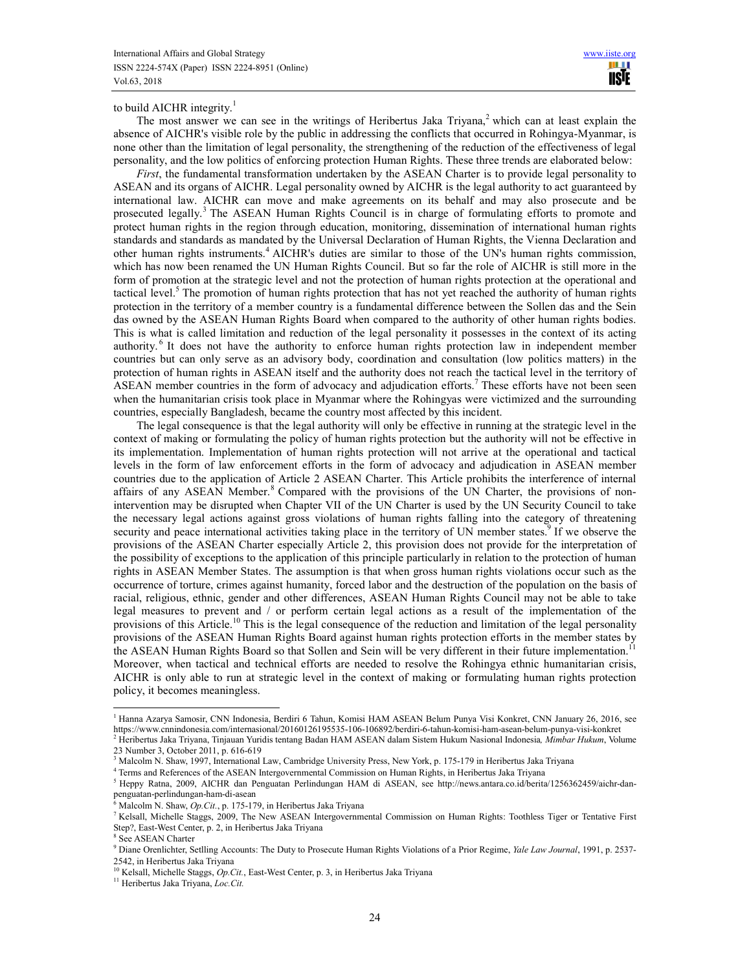to build AICHR integrity. $<sup>1</sup>$ </sup>

The most answer we can see in the writings of Heribertus Jaka Triyana,<sup>2</sup> which can at least explain the absence of AICHR's visible role by the public in addressing the conflicts that occurred in Rohingya-Myanmar, is none other than the limitation of legal personality, the strengthening of the reduction of the effectiveness of legal personality, and the low politics of enforcing protection Human Rights. These three trends are elaborated below:

*First*, the fundamental transformation undertaken by the ASEAN Charter is to provide legal personality to ASEAN and its organs of AICHR. Legal personality owned by AICHR is the legal authority to act guaranteed by international law. AICHR can move and make agreements on its behalf and may also prosecute and be prosecuted legally.<sup>3</sup> The ASEAN Human Rights Council is in charge of formulating efforts to promote and protect human rights in the region through education, monitoring, dissemination of international human rights standards and standards as mandated by the Universal Declaration of Human Rights, the Vienna Declaration and other human rights instruments.<sup>4</sup> AICHR's duties are similar to those of the UN's human rights commission, which has now been renamed the UN Human Rights Council. But so far the role of AICHR is still more in the form of promotion at the strategic level and not the protection of human rights protection at the operational and tactical level.<sup>5</sup> The promotion of human rights protection that has not yet reached the authority of human rights protection in the territory of a member country is a fundamental difference between the Sollen das and the Sein das owned by the ASEAN Human Rights Board when compared to the authority of other human rights bodies. This is what is called limitation and reduction of the legal personality it possesses in the context of its acting authority.<sup>6</sup> It does not have the authority to enforce human rights protection law in independent member countries but can only serve as an advisory body, coordination and consultation (low politics matters) in the protection of human rights in ASEAN itself and the authority does not reach the tactical level in the territory of ASEAN member countries in the form of advocacy and adjudication efforts.<sup>7</sup> These efforts have not been seen when the humanitarian crisis took place in Myanmar where the Rohingyas were victimized and the surrounding countries, especially Bangladesh, became the country most affected by this incident.

The legal consequence is that the legal authority will only be effective in running at the strategic level in the context of making or formulating the policy of human rights protection but the authority will not be effective in its implementation. Implementation of human rights protection will not arrive at the operational and tactical levels in the form of law enforcement efforts in the form of advocacy and adjudication in ASEAN member countries due to the application of Article 2 ASEAN Charter. This Article prohibits the interference of internal affairs of any ASEAN Member.<sup>8</sup> Compared with the provisions of the UN Charter, the provisions of nonintervention may be disrupted when Chapter VII of the UN Charter is used by the UN Security Council to take the necessary legal actions against gross violations of human rights falling into the category of threatening security and peace international activities taking place in the territory of UN member states.<sup>9</sup> If we observe the provisions of the ASEAN Charter especially Article 2, this provision does not provide for the interpretation of the possibility of exceptions to the application of this principle particularly in relation to the protection of human rights in ASEAN Member States. The assumption is that when gross human rights violations occur such as the occurrence of torture, crimes against humanity, forced labor and the destruction of the population on the basis of racial, religious, ethnic, gender and other differences, ASEAN Human Rights Council may not be able to take legal measures to prevent and / or perform certain legal actions as a result of the implementation of the provisions of this Article.<sup>10</sup> This is the legal consequence of the reduction and limitation of the legal personality provisions of the ASEAN Human Rights Board against human rights protection efforts in the member states by the ASEAN Human Rights Board so that Sollen and Sein will be very different in their future implementation.<sup>11</sup> Moreover, when tactical and technical efforts are needed to resolve the Rohingya ethnic humanitarian crisis, AICHR is only able to run at strategic level in the context of making or formulating human rights protection policy, it becomes meaningless.

<sup>&</sup>lt;sup>1</sup> Hanna Azarya Samosir, CNN Indonesia, Berdiri 6 Tahun, Komisi HAM ASEAN Belum Punya Visi Konkret, CNN January 26, 2016, see https://www.cnnindonesia.com/internasional/20160126195535-106-106892/berdiri-6-tahun-komisi-ham-asean-belum-punya-visi-konkret 2 Heribertus Jaka Triyana, Tinjauan Yuridis tentang Badan HAM ASEAN dalam Sistem Hukum Nasional Indonesia*, Mimbar Hukum*, Volume 23 Number 3, October 2011, p. 616-619

<sup>&</sup>lt;sup>3</sup> Malcolm N. Shaw, 1997, International Law, Cambridge University Press, New York, p. 175-179 in Heribertus Jaka Triyana

<sup>4</sup> Terms and References of the ASEAN Intergovernmental Commission on Human Rights, in Heribertus Jaka Triyana

<sup>&</sup>lt;sup>5</sup> Heppy Ratna, 2009, AICHR dan Penguatan Perlindungan HAM di ASEAN, see http://news.antara.co.id/berita/1256362459/aichr-danpenguatan-perlindungan-ham-di-asean

<sup>6</sup> Malcolm N. Shaw, *Op.Cit.*, p. 175-179, in Heribertus Jaka Triyana

<sup>7</sup> Kelsall, Michelle Staggs, 2009, The New ASEAN Intergovernmental Commission on Human Rights: Toothless Tiger or Tentative First Step?, East-West Center, p. 2, in Heribertus Jaka Triyana

<sup>8</sup> See ASEAN Charter

<sup>9</sup> Diane Orenlichter, Setlling Accounts: The Duty to Prosecute Human Rights Violations of a Prior Regime, *Yale Law Journal*, 1991, p. 2537- 2542, in Heribertus Jaka Triyana

<sup>&</sup>lt;sup>10</sup> Kelsall, Michelle Staggs, *Op.Cit.*, East-West Center, p. 3, in Heribertus Jaka Triyana

<sup>11</sup> Heribertus Jaka Triyana, *Loc.Cit.*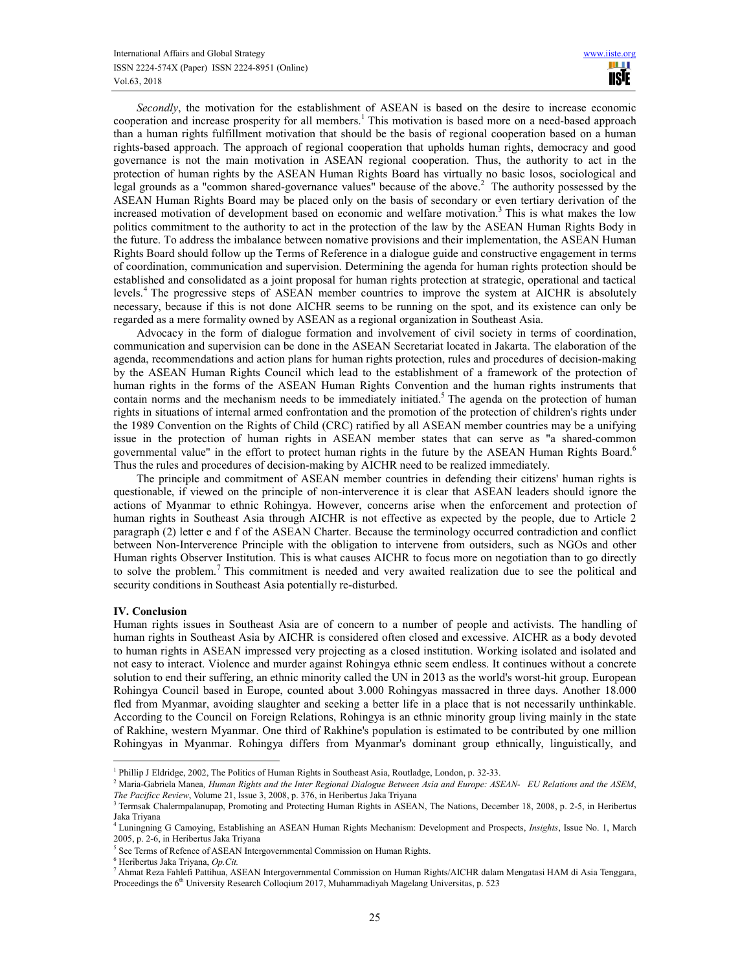*Secondly*, the motivation for the establishment of ASEAN is based on the desire to increase economic cooperation and increase prosperity for all members.<sup>1</sup> This motivation is based more on a need-based approach than a human rights fulfillment motivation that should be the basis of regional cooperation based on a human rights-based approach. The approach of regional cooperation that upholds human rights, democracy and good governance is not the main motivation in ASEAN regional cooperation. Thus, the authority to act in the protection of human rights by the ASEAN Human Rights Board has virtually no basic losos, sociological and legal grounds as a "common shared-governance values" because of the above.<sup>2</sup> The authority possessed by the ASEAN Human Rights Board may be placed only on the basis of secondary or even tertiary derivation of the increased motivation of development based on economic and welfare motivation.<sup>3</sup> This is what makes the low politics commitment to the authority to act in the protection of the law by the ASEAN Human Rights Body in the future. To address the imbalance between nomative provisions and their implementation, the ASEAN Human Rights Board should follow up the Terms of Reference in a dialogue guide and constructive engagement in terms of coordination, communication and supervision. Determining the agenda for human rights protection should be established and consolidated as a joint proposal for human rights protection at strategic, operational and tactical levels.<sup>4</sup> The progressive steps of ASEAN member countries to improve the system at AICHR is absolutely necessary, because if this is not done AICHR seems to be running on the spot, and its existence can only be regarded as a mere formality owned by ASEAN as a regional organization in Southeast Asia.

Advocacy in the form of dialogue formation and involvement of civil society in terms of coordination, communication and supervision can be done in the ASEAN Secretariat located in Jakarta. The elaboration of the agenda, recommendations and action plans for human rights protection, rules and procedures of decision-making by the ASEAN Human Rights Council which lead to the establishment of a framework of the protection of human rights in the forms of the ASEAN Human Rights Convention and the human rights instruments that contain norms and the mechanism needs to be immediately initiated.<sup>5</sup> The agenda on the protection of human rights in situations of internal armed confrontation and the promotion of the protection of children's rights under the 1989 Convention on the Rights of Child (CRC) ratified by all ASEAN member countries may be a unifying issue in the protection of human rights in ASEAN member states that can serve as "a shared-common governmental value" in the effort to protect human rights in the future by the ASEAN Human Rights Board.<sup>6</sup> Thus the rules and procedures of decision-making by AICHR need to be realized immediately.

The principle and commitment of ASEAN member countries in defending their citizens' human rights is questionable, if viewed on the principle of non-interverence it is clear that ASEAN leaders should ignore the actions of Myanmar to ethnic Rohingya. However, concerns arise when the enforcement and protection of human rights in Southeast Asia through AICHR is not effective as expected by the people, due to Article 2 paragraph (2) letter e and f of the ASEAN Charter. Because the terminology occurred contradiction and conflict between Non-Interverence Principle with the obligation to intervene from outsiders, such as NGOs and other Human rights Observer Institution. This is what causes AICHR to focus more on negotiation than to go directly to solve the problem.<sup>7</sup> This commitment is needed and very awaited realization due to see the political and security conditions in Southeast Asia potentially re-disturbed.

#### **IV. Conclusion**

 $\overline{a}$ 

Human rights issues in Southeast Asia are of concern to a number of people and activists. The handling of human rights in Southeast Asia by AICHR is considered often closed and excessive. AICHR as a body devoted to human rights in ASEAN impressed very projecting as a closed institution. Working isolated and isolated and not easy to interact. Violence and murder against Rohingya ethnic seem endless. It continues without a concrete solution to end their suffering, an ethnic minority called the UN in 2013 as the world's worst-hit group. European Rohingya Council based in Europe, counted about 3.000 Rohingyas massacred in three days. Another 18.000 fled from Myanmar, avoiding slaughter and seeking a better life in a place that is not necessarily unthinkable. According to the Council on Foreign Relations, Rohingya is an ethnic minority group living mainly in the state of Rakhine, western Myanmar. One third of Rakhine's population is estimated to be contributed by one million Rohingyas in Myanmar. Rohingya differs from Myanmar's dominant group ethnically, linguistically, and

<sup>&</sup>lt;sup>1</sup> Phillip J Eldridge, 2002, The Politics of Human Rights in Southeast Asia, Routladge, London, p. 32-33.

<sup>2</sup> Maria-Gabriela Manea*, Human Rights and the Inter Regional Dialogue Between Asia and Europe: ASEAN- EU Relations and the ASEM*, *The Pacificc Review*, Volume 21, Issue 3, 2008, p. 376, in Heribertus Jaka Triyana

<sup>&</sup>lt;sup>3</sup> Termsak Chalermpalanupap, Promoting and Protecting Human Rights in ASEAN, The Nations, December 18, 2008, p. 2-5, in Heribertus Jaka Triyana<br><sup>4</sup> Luningning G Camoying, Establishing an ASEAN Human Rights Mechanism: Development and Prospects, *Insights*, Issue No. 1, March

<sup>2005,</sup> p. 2-6, in Heribertus Jaka Triyana

<sup>&</sup>lt;sup>5</sup> See Terms of Refence of ASEAN Intergovernmental Commission on Human Rights.

<sup>6</sup> Heribertus Jaka Triyana, *Op.Cit.* 

<sup>7</sup> Ahmat Reza Fahlefi Pattihua, ASEAN Intergovernmental Commission on Human Rights/AICHR dalam Mengatasi HAM di Asia Tenggara, Proceedings the 6<sup>th</sup> University Research Colloqium 2017, Muhammadiyah Magelang Universitas, p. 523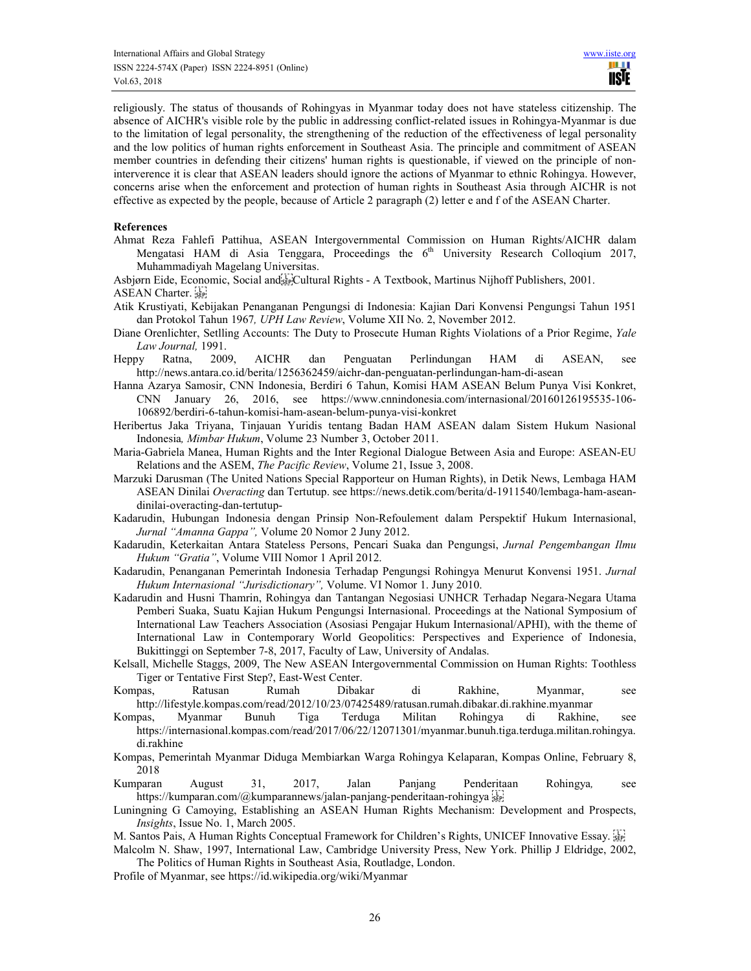religiously. The status of thousands of Rohingyas in Myanmar today does not have stateless citizenship. The absence of AICHR's visible role by the public in addressing conflict-related issues in Rohingya-Myanmar is due to the limitation of legal personality, the strengthening of the reduction of the effectiveness of legal personality and the low politics of human rights enforcement in Southeast Asia. The principle and commitment of ASEAN member countries in defending their citizens' human rights is questionable, if viewed on the principle of noninterverence it is clear that ASEAN leaders should ignore the actions of Myanmar to ethnic Rohingya. However, concerns arise when the enforcement and protection of human rights in Southeast Asia through AICHR is not effective as expected by the people, because of Article 2 paragraph (2) letter e and f of the ASEAN Charter.

### **References**

- Ahmat Reza Fahlefi Pattihua, ASEAN Intergovernmental Commission on Human Rights/AICHR dalam Mengatasi HAM di Asia Tenggara, Proceedings the  $6<sup>th</sup>$  University Research Colloqium 2017, Muhammadiyah Magelang Universitas.
- Asbjørn Eide, Economic, Social and Film and Rights A Textbook, Martinus Nijhoff Publishers, 2001.

ASEAN Charter.

- Atik Krustiyati, Kebijakan Penanganan Pengungsi di Indonesia: Kajian Dari Konvensi Pengungsi Tahun 1951 dan Protokol Tahun 1967*, UPH Law Review*, Volume XII No. 2, November 2012.
- Diane Orenlichter, Setlling Accounts: The Duty to Prosecute Human Rights Violations of a Prior Regime, *Yale Law Journal,* 1991.
- Heppy Ratna, 2009, AICHR dan Penguatan Perlindungan HAM di ASEAN, see http://news.antara.co.id/berita/1256362459/aichr-dan-penguatan-perlindungan-ham-di-asean
- Hanna Azarya Samosir, CNN Indonesia, Berdiri 6 Tahun, Komisi HAM ASEAN Belum Punya Visi Konkret, CNN January 26, 2016, see https://www.cnnindonesia.com/internasional/20160126195535-106- 106892/berdiri-6-tahun-komisi-ham-asean-belum-punya-visi-konkret
- Heribertus Jaka Triyana, Tinjauan Yuridis tentang Badan HAM ASEAN dalam Sistem Hukum Nasional Indonesia*, Mimbar Hukum*, Volume 23 Number 3, October 2011.
- Maria-Gabriela Manea, Human Rights and the Inter Regional Dialogue Between Asia and Europe: ASEAN-EU Relations and the ASEM, *The Pacific Review*, Volume 21, Issue 3, 2008.
- Marzuki Darusman (The United Nations Special Rapporteur on Human Rights), in Detik News, Lembaga HAM ASEAN Dinilai *Overacting* dan Tertutup. see https://news.detik.com/berita/d-1911540/lembaga-ham-aseandinilai-overacting-dan-tertutup-
- Kadarudin, Hubungan Indonesia dengan Prinsip Non-Refoulement dalam Perspektif Hukum Internasional, *Jurnal "Amanna Gappa",* Volume 20 Nomor 2 Juny 2012.
- Kadarudin, Keterkaitan Antara Stateless Persons, Pencari Suaka dan Pengungsi, *Jurnal Pengembangan Ilmu Hukum "Gratia"*, Volume VIII Nomor 1 April 2012.
- Kadarudin, Penanganan Pemerintah Indonesia Terhadap Pengungsi Rohingya Menurut Konvensi 1951. *Jurnal Hukum Internasional "Jurisdictionary",* Volume. VI Nomor 1. Juny 2010.
- Kadarudin and Husni Thamrin, Rohingya dan Tantangan Negosiasi UNHCR Terhadap Negara-Negara Utama Pemberi Suaka, Suatu Kajian Hukum Pengungsi Internasional. Proceedings at the National Symposium of International Law Teachers Association (Asosiasi Pengajar Hukum Internasional/APHI), with the theme of International Law in Contemporary World Geopolitics: Perspectives and Experience of Indonesia, Bukittinggi on September 7-8, 2017, Faculty of Law, University of Andalas.
- Kelsall, Michelle Staggs, 2009, The New ASEAN Intergovernmental Commission on Human Rights: Toothless Tiger or Tentative First Step?, East-West Center.
- Kompas, Ratusan Rumah Dibakar di Rakhine, Myanmar, see http://lifestyle.kompas.com/read/2012/10/23/07425489/ratusan.rumah.dibakar.di.rakhine.myanmar
- Kompas, Myanmar Bunuh Tiga Terduga Militan Rohingya di Rakhine, see https://internasional.kompas.com/read/2017/06/22/12071301/myanmar.bunuh.tiga.terduga.militan.rohingya. di.rakhine
- Kompas, Pemerintah Myanmar Diduga Membiarkan Warga Rohingya Kelaparan, Kompas Online, February 8, 2018
- Kumparan August 31, 2017, Jalan Panjang Penderitaan Rohingya*,* see https://kumparan.com/@kumparannews/jalan-panjang-penderitaan-rohingya
- Luningning G Camoying, Establishing an ASEAN Human Rights Mechanism: Development and Prospects, *Insights*, Issue No. 1, March 2005.
- M. Santos Pais, A Human Rights Conceptual Framework for Children's Rights, UNICEF Innovative Essay.
- Malcolm N. Shaw, 1997, International Law, Cambridge University Press, New York. Phillip J Eldridge, 2002, The Politics of Human Rights in Southeast Asia, Routladge, London.
- Profile of Myanmar, see https://id.wikipedia.org/wiki/Myanmar